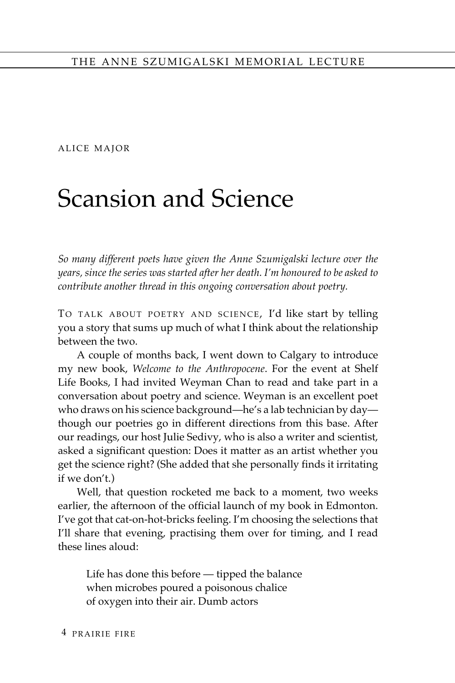#### ALICE MAJOR

# Scansion and Science

*So many different poets have given the Anne Szumigalski lecture over the years, since the series was started after her death. I'm honoured to be asked to contribute another thread in this ongoing conversation about poetry.*

TO TALK ABOUT POETRY AND SCIENCE, I'd like start by telling you a story that sums up much of what I think about the relationship between the two.

A couple of months back, I went down to Calgary to introduce my new book, *Welcome to the Anthropocene*. For the event at Shelf Life Books, I had invited Weyman Chan to read and take part in a conversation about poetry and science. Weyman is an excellent poet who draws on his science background—he's a lab technician by day though our poetries go in different directions from this base. After our readings, our host Julie Sedivy, who is also a writer and scientist, asked a significant question: Does it matter as an artist whether you get the science right? (She added that she personally finds it irritating if we don't.)

Well, that question rocketed me back to a moment, two weeks earlier, the afternoon of the official launch of my book in Edmonton. I've got that cat-on-hot-bricks feeling. I'm choosing the selections that I'll share that evening, practising them over for timing, and I read these lines aloud:

Life has done this before — tipped the balance when microbes poured a poisonous chalice of oxygen into their air. Dumb actors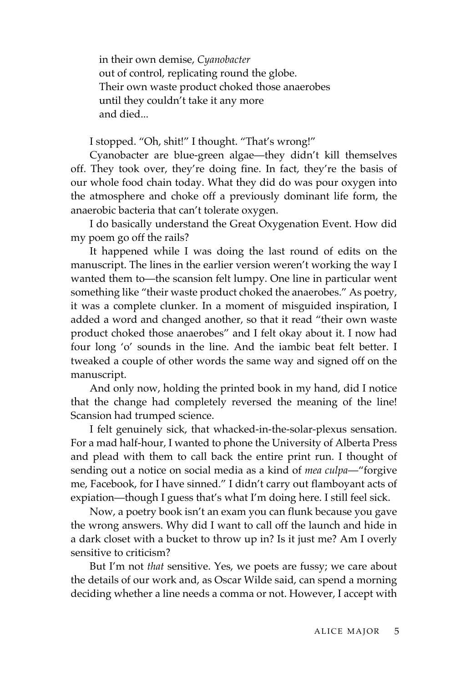in their own demise, *Cyanobacter*  out of control, replicating round the globe. Their own waste product choked those anaerobes until they couldn't take it any more and died...

I stopped. "Oh, shit!" I thought. "That's wrong!"

Cyanobacter are blue-green algae—they didn't kill themselves off. They took over, they're doing fine. In fact, they're the basis of our whole food chain today. What they did do was pour oxygen into the atmosphere and choke off a previously dominant life form, the anaerobic bacteria that can't tolerate oxygen.

I do basically understand the Great Oxygenation Event. How did my poem go off the rails?

It happened while I was doing the last round of edits on the manuscript. The lines in the earlier version weren't working the way I wanted them to—the scansion felt lumpy. One line in particular went something like "their waste product choked the anaerobes." As poetry, it was a complete clunker. In a moment of misguided inspiration, I added a word and changed another, so that it read "their own waste product choked those anaerobes" and I felt okay about it. I now had four long 'o' sounds in the line. And the iambic beat felt better. I tweaked a couple of other words the same way and signed off on the manuscript.

And only now, holding the printed book in my hand, did I notice that the change had completely reversed the meaning of the line! Scansion had trumped science.

I felt genuinely sick, that whacked-in-the-solar-plexus sensation. For a mad half-hour, I wanted to phone the University of Alberta Press and plead with them to call back the entire print run. I thought of sending out a notice on social media as a kind of *mea culpa*—"forgive me, Facebook, for I have sinned." I didn't carry out flamboyant acts of expiation—though I guess that's what I'm doing here. I still feel sick.

Now, a poetry book isn't an exam you can flunk because you gave the wrong answers. Why did I want to call off the launch and hide in a dark closet with a bucket to throw up in? Is it just me? Am I overly sensitive to criticism?

But I'm not *that* sensitive. Yes, we poets are fussy; we care about the details of our work and, as Oscar Wilde said, can spend a morning deciding whether a line needs a comma or not. However, I accept with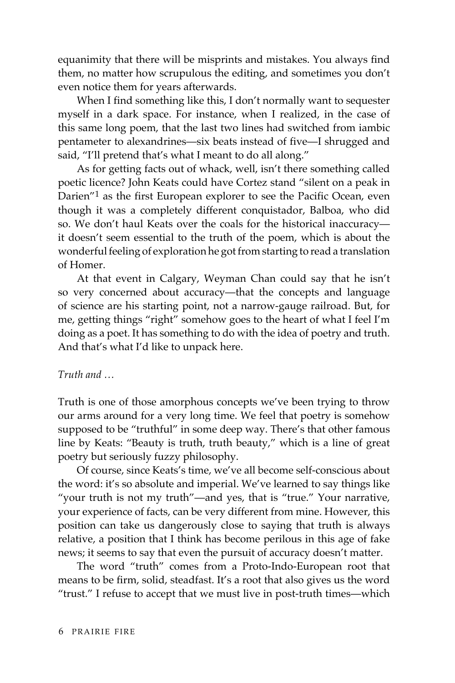equanimity that there will be misprints and mistakes. You always find them, no matter how scrupulous the editing, and sometimes you don't even notice them for years afterwards.

When I find something like this, I don't normally want to sequester myself in a dark space. For instance, when I realized, in the case of this same long poem, that the last two lines had switched from iambic pentameter to alexandrines—six beats instead of five—I shrugged and said, "I'll pretend that's what I meant to do all along."

As for getting facts out of whack, well, isn't there something called poetic licence? John Keats could have Cortez stand "silent on a peak in Darien"<sup>1</sup> as the first European explorer to see the Pacific Ocean, even though it was a completely different conquistador, Balboa, who did so. We don't haul Keats over the coals for the historical inaccuracy it doesn't seem essential to the truth of the poem, which is about the wonderful feeling of exploration he got from starting to read a translation of Homer.

At that event in Calgary, Weyman Chan could say that he isn't so very concerned about accuracy—that the concepts and language of science are his starting point, not a narrow-gauge railroad. But, for me, getting things "right" somehow goes to the heart of what I feel I'm doing as a poet. It has something to do with the idea of poetry and truth. And that's what I'd like to unpack here.

#### *Truth and …*

Truth is one of those amorphous concepts we've been trying to throw our arms around for a very long time. We feel that poetry is somehow supposed to be "truthful" in some deep way. There's that other famous line by Keats: "Beauty is truth, truth beauty," which is a line of great poetry but seriously fuzzy philosophy.

Of course, since Keats's time, we've all become self-conscious about the word: it's so absolute and imperial. We've learned to say things like "your truth is not my truth"—and yes, that is "true." Your narrative, your experience of facts, can be very different from mine. However, this position can take us dangerously close to saying that truth is always relative, a position that I think has become perilous in this age of fake news; it seems to say that even the pursuit of accuracy doesn't matter.

The word "truth" comes from a Proto-Indo-European root that means to be firm, solid, steadfast. It's a root that also gives us the word "trust." I refuse to accept that we must live in post-truth times—which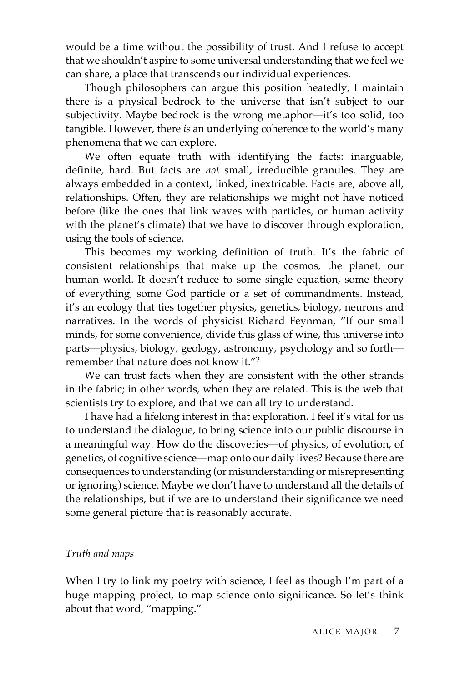would be a time without the possibility of trust. And I refuse to accept that we shouldn't aspire to some universal understanding that we feel we can share, a place that transcends our individual experiences.

Though philosophers can argue this position heatedly, I maintain there is a physical bedrock to the universe that isn't subject to our subjectivity. Maybe bedrock is the wrong metaphor—it's too solid, too tangible. However, there *is* an underlying coherence to the world's many phenomena that we can explore.

We often equate truth with identifying the facts: inarguable, definite, hard. But facts are *not* small, irreducible granules. They are always embedded in a context, linked, inextricable. Facts are, above all, relationships. Often, they are relationships we might not have noticed before (like the ones that link waves with particles, or human activity with the planet's climate) that we have to discover through exploration, using the tools of science.

This becomes my working definition of truth. It's the fabric of consistent relationships that make up the cosmos, the planet, our human world. It doesn't reduce to some single equation, some theory of everything, some God particle or a set of commandments. Instead, it's an ecology that ties together physics, genetics, biology, neurons and narratives. In the words of physicist Richard Feynman, "If our small minds, for some convenience, divide this glass of wine, this universe into parts—physics, biology, geology, astronomy, psychology and so forth remember that nature does not know it."2

We can trust facts when they are consistent with the other strands in the fabric; in other words, when they are related. This is the web that scientists try to explore, and that we can all try to understand.

I have had a lifelong interest in that exploration. I feel it's vital for us to understand the dialogue, to bring science into our public discourse in a meaningful way. How do the discoveries—of physics, of evolution, of genetics, of cognitive science—map onto our daily lives? Because there are consequences to understanding (or misunderstanding or misrepresenting or ignoring) science. Maybe we don't have to understand all the details of the relationships, but if we are to understand their significance we need some general picture that is reasonably accurate.

### *Truth and maps*

When I try to link my poetry with science, I feel as though I'm part of a huge mapping project, to map science onto significance. So let's think about that word, "mapping."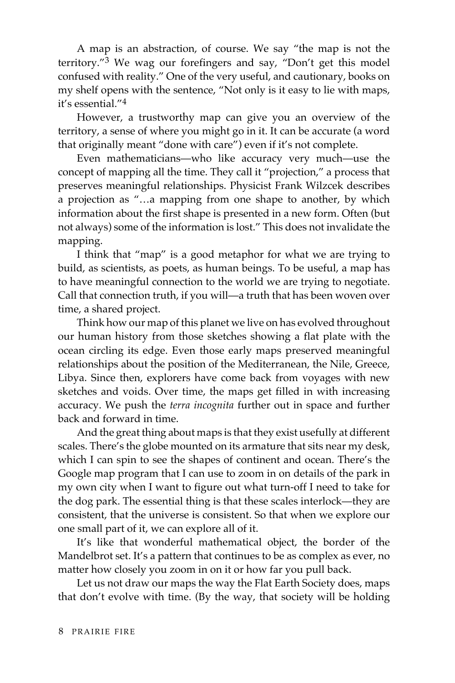A map is an abstraction, of course. We say "the map is not the territory."3 We wag our forefingers and say, "Don't get this model confused with reality." One of the very useful, and cautionary, books on my shelf opens with the sentence, "Not only is it easy to lie with maps, it's essential."4

However, a trustworthy map can give you an overview of the territory, a sense of where you might go in it. It can be accurate (a word that originally meant "done with care") even if it's not complete.

Even mathematicians—who like accuracy very much—use the concept of mapping all the time. They call it "projection," a process that preserves meaningful relationships. Physicist Frank Wilzcek describes a projection as "…a mapping from one shape to another, by which information about the first shape is presented in a new form. Often (but not always) some of the information is lost." This does not invalidate the mapping.

I think that "map" is a good metaphor for what we are trying to build, as scientists, as poets, as human beings. To be useful, a map has to have meaningful connection to the world we are trying to negotiate. Call that connection truth, if you will—a truth that has been woven over time, a shared project.

Think how our map of this planet we live on has evolved throughout our human history from those sketches showing a flat plate with the ocean circling its edge. Even those early maps preserved meaningful relationships about the position of the Mediterranean, the Nile, Greece, Libya. Since then, explorers have come back from voyages with new sketches and voids. Over time, the maps get filled in with increasing accuracy. We push the *terra incognita* further out in space and further back and forward in time.

And the great thing about maps is that they exist usefully at different scales. There's the globe mounted on its armature that sits near my desk, which I can spin to see the shapes of continent and ocean. There's the Google map program that I can use to zoom in on details of the park in my own city when I want to figure out what turn-off I need to take for the dog park. The essential thing is that these scales interlock—they are consistent, that the universe is consistent. So that when we explore our one small part of it, we can explore all of it.

It's like that wonderful mathematical object, the border of the Mandelbrot set. It's a pattern that continues to be as complex as ever, no matter how closely you zoom in on it or how far you pull back.

Let us not draw our maps the way the Flat Earth Society does, maps that don't evolve with time. (By the way, that society will be holding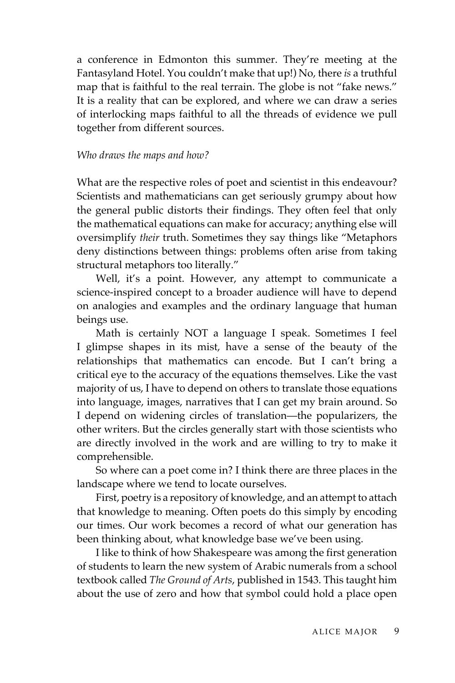a conference in Edmonton this summer. They're meeting at the Fantasyland Hotel. You couldn't make that up!) No, there *is* a truthful map that is faithful to the real terrain. The globe is not "fake news." It is a reality that can be explored, and where we can draw a series of interlocking maps faithful to all the threads of evidence we pull together from different sources.

#### *Who draws the maps and how?*

What are the respective roles of poet and scientist in this endeavour? Scientists and mathematicians can get seriously grumpy about how the general public distorts their findings. They often feel that only the mathematical equations can make for accuracy; anything else will oversimplify *their* truth. Sometimes they say things like "Metaphors deny distinctions between things: problems often arise from taking structural metaphors too literally."

Well, it's a point. However, any attempt to communicate a science-inspired concept to a broader audience will have to depend on analogies and examples and the ordinary language that human beings use.

Math is certainly NOT a language I speak. Sometimes I feel I glimpse shapes in its mist, have a sense of the beauty of the relationships that mathematics can encode. But I can't bring a critical eye to the accuracy of the equations themselves. Like the vast majority of us, I have to depend on others to translate those equations into language, images, narratives that I can get my brain around. So I depend on widening circles of translation—the popularizers, the other writers. But the circles generally start with those scientists who are directly involved in the work and are willing to try to make it comprehensible.

So where can a poet come in? I think there are three places in the landscape where we tend to locate ourselves.

First, poetry is a repository of knowledge, and an attempt to attach that knowledge to meaning. Often poets do this simply by encoding our times. Our work becomes a record of what our generation has been thinking about, what knowledge base we've been using.

I like to think of how Shakespeare was among the first generation of students to learn the new system of Arabic numerals from a school textbook called *The Ground of Arts*, published in 1543. This taught him about the use of zero and how that symbol could hold a place open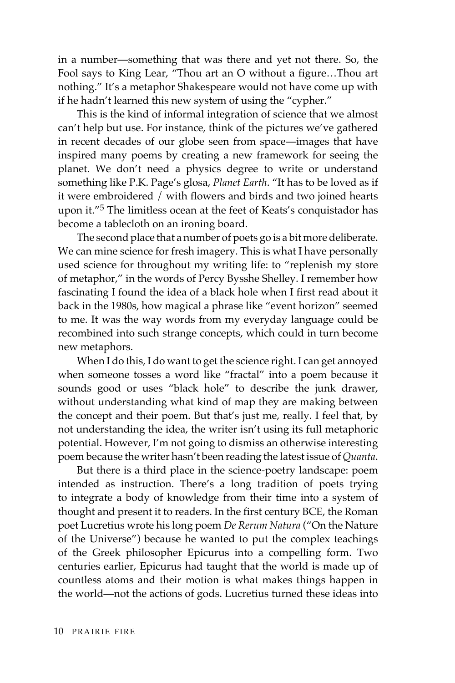in a number—something that was there and yet not there. So, the Fool says to King Lear, "Thou art an O without a figure…Thou art nothing." It's a metaphor Shakespeare would not have come up with if he hadn't learned this new system of using the "cypher."

This is the kind of informal integration of science that we almost can't help but use. For instance, think of the pictures we've gathered in recent decades of our globe seen from space—images that have inspired many poems by creating a new framework for seeing the planet. We don't need a physics degree to write or understand something like P.K. Page's glosa, *Planet Earth*. "It has to be loved as if it were embroidered / with flowers and birds and two joined hearts upon it."5 The limitless ocean at the feet of Keats's conquistador has become a tablecloth on an ironing board.

The second place that a number of poets go is a bit more deliberate. We can mine science for fresh imagery. This is what I have personally used science for throughout my writing life: to "replenish my store of metaphor," in the words of Percy Bysshe Shelley. I remember how fascinating I found the idea of a black hole when I first read about it back in the 1980s, how magical a phrase like "event horizon" seemed to me. It was the way words from my everyday language could be recombined into such strange concepts, which could in turn become new metaphors.

When I do this, I do want to get the science right. I can get annoyed when someone tosses a word like "fractal" into a poem because it sounds good or uses "black hole" to describe the junk drawer, without understanding what kind of map they are making between the concept and their poem. But that's just me, really. I feel that, by not understanding the idea, the writer isn't using its full metaphoric potential. However, I'm not going to dismiss an otherwise interesting poem because the writer hasn't been reading the latest issue of *Quanta*.

But there is a third place in the science-poetry landscape: poem intended as instruction. There's a long tradition of poets trying to integrate a body of knowledge from their time into a system of thought and present it to readers. In the first century BCE, the Roman poet Lucretius wrote his long poem *De Rerum Natura* ("On the Nature of the Universe") because he wanted to put the complex teachings of the Greek philosopher Epicurus into a compelling form. Two centuries earlier, Epicurus had taught that the world is made up of countless atoms and their motion is what makes things happen in the world—not the actions of gods. Lucretius turned these ideas into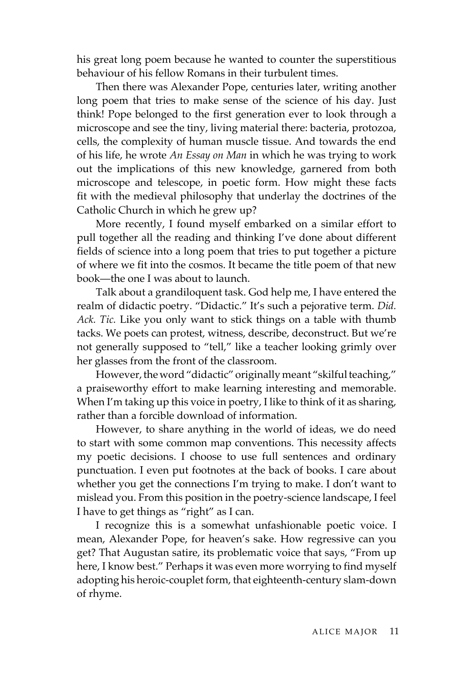his great long poem because he wanted to counter the superstitious behaviour of his fellow Romans in their turbulent times.

Then there was Alexander Pope, centuries later, writing another long poem that tries to make sense of the science of his day. Just think! Pope belonged to the first generation ever to look through a microscope and see the tiny, living material there: bacteria, protozoa, cells, the complexity of human muscle tissue. And towards the end of his life, he wrote *An Essay on Man* in which he was trying to work out the implications of this new knowledge, garnered from both microscope and telescope, in poetic form. How might these facts fit with the medieval philosophy that underlay the doctrines of the Catholic Church in which he grew up?

More recently, I found myself embarked on a similar effort to pull together all the reading and thinking I've done about different fields of science into a long poem that tries to put together a picture of where we fit into the cosmos. It became the title poem of that new book—the one I was about to launch.

Talk about a grandiloquent task. God help me, I have entered the realm of didactic poetry. "Didactic." It's such a pejorative term. *Did. Ack. Tic.* Like you only want to stick things on a table with thumb tacks. We poets can protest, witness, describe, deconstruct. But we're not generally supposed to "tell," like a teacher looking grimly over her glasses from the front of the classroom.

However, the word "didactic" originally meant "skilful teaching," a praiseworthy effort to make learning interesting and memorable. When I'm taking up this voice in poetry, I like to think of it as sharing, rather than a forcible download of information.

However, to share anything in the world of ideas, we do need to start with some common map conventions. This necessity affects my poetic decisions. I choose to use full sentences and ordinary punctuation. I even put footnotes at the back of books. I care about whether you get the connections I'm trying to make. I don't want to mislead you. From this position in the poetry-science landscape, I feel I have to get things as "right" as I can.

I recognize this is a somewhat unfashionable poetic voice. I mean, Alexander Pope, for heaven's sake. How regressive can you get? That Augustan satire, its problematic voice that says, "From up here, I know best." Perhaps it was even more worrying to find myself adopting his heroic-couplet form, that eighteenth-century slam-down of rhyme.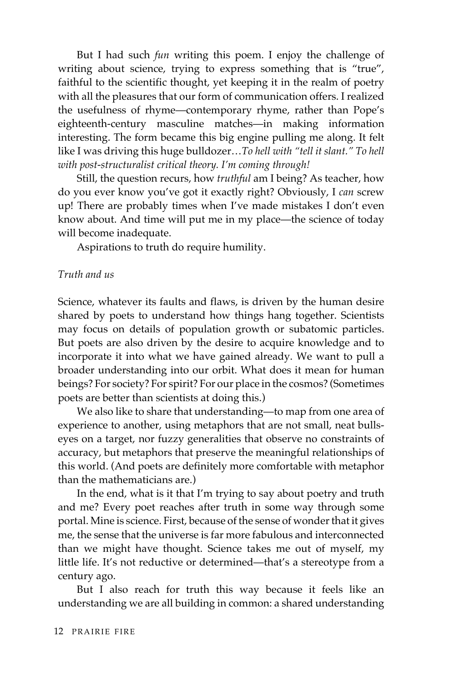But I had such *fun* writing this poem. I enjoy the challenge of writing about science, trying to express something that is "true", faithful to the scientific thought, yet keeping it in the realm of poetry with all the pleasures that our form of communication offers. I realized the usefulness of rhyme—contemporary rhyme, rather than Pope's eighteenth-century masculine matches—in making information interesting. The form became this big engine pulling me along. It felt like I was driving this huge bulldozer…*To hell with "tell it slant." To hell with post-structuralist critical theory. I'm coming through!*

Still, the question recurs, how *truthful* am I being? As teacher, how do you ever know you've got it exactly right? Obviously, I *can* screw up! There are probably times when I've made mistakes I don't even know about. And time will put me in my place—the science of today will become inadequate.

Aspirations to truth do require humility.

#### *Truth and us*

Science, whatever its faults and flaws, is driven by the human desire shared by poets to understand how things hang together. Scientists may focus on details of population growth or subatomic particles. But poets are also driven by the desire to acquire knowledge and to incorporate it into what we have gained already. We want to pull a broader understanding into our orbit. What does it mean for human beings? For society? For spirit? For our place in the cosmos? (Sometimes poets are better than scientists at doing this.)

We also like to share that understanding—to map from one area of experience to another, using metaphors that are not small, neat bullseyes on a target, nor fuzzy generalities that observe no constraints of accuracy, but metaphors that preserve the meaningful relationships of this world. (And poets are definitely more comfortable with metaphor than the mathematicians are.)

In the end, what is it that I'm trying to say about poetry and truth and me? Every poet reaches after truth in some way through some portal. Mine is science. First, because of the sense of wonder that it gives me, the sense that the universe is far more fabulous and interconnected than we might have thought. Science takes me out of myself, my little life. It's not reductive or determined—that's a stereotype from a century ago.

But I also reach for truth this way because it feels like an understanding we are all building in common: a shared understanding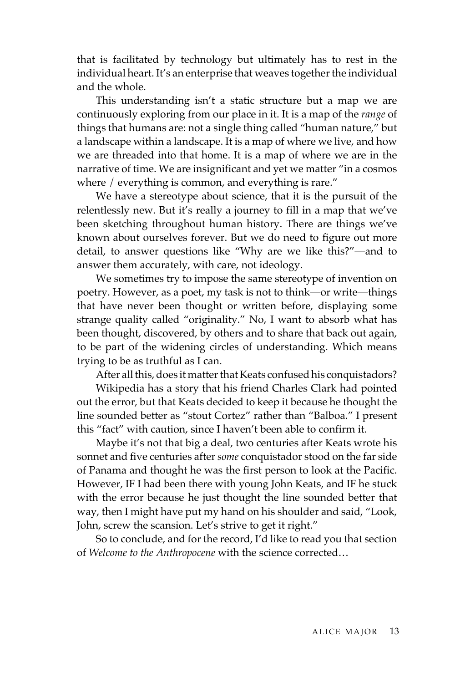that is facilitated by technology but ultimately has to rest in the individual heart. It's an enterprise that weaves together the individual and the whole.

This understanding isn't a static structure but a map we are continuously exploring from our place in it. It is a map of the *range* of things that humans are: not a single thing called "human nature," but a landscape within a landscape. It is a map of where we live, and how we are threaded into that home. It is a map of where we are in the narrative of time. We are insignificant and yet we matter "in a cosmos where / everything is common, and everything is rare."

We have a stereotype about science, that it is the pursuit of the relentlessly new. But it's really a journey to fill in a map that we've been sketching throughout human history. There are things we've known about ourselves forever. But we do need to figure out more detail, to answer questions like "Why are we like this?"—and to answer them accurately, with care, not ideology.

We sometimes try to impose the same stereotype of invention on poetry. However, as a poet, my task is not to think—or write—things that have never been thought or written before, displaying some strange quality called "originality." No, I want to absorb what has been thought, discovered, by others and to share that back out again, to be part of the widening circles of understanding. Which means trying to be as truthful as I can.

After all this, does it matter that Keats confused his conquistadors?

Wikipedia has a story that his friend Charles Clark had pointed out the error, but that Keats decided to keep it because he thought the line sounded better as "stout Cortez" rather than "Balboa." I present this "fact" with caution, since I haven't been able to confirm it.

Maybe it's not that big a deal, two centuries after Keats wrote his sonnet and five centuries after *some* conquistador stood on the far side of Panama and thought he was the first person to look at the Pacific. However, IF I had been there with young John Keats, and IF he stuck with the error because he just thought the line sounded better that way, then I might have put my hand on his shoulder and said, "Look, John, screw the scansion. Let's strive to get it right."

So to conclude, and for the record, I'd like to read you that section of *Welcome to the Anthropocene* with the science corrected…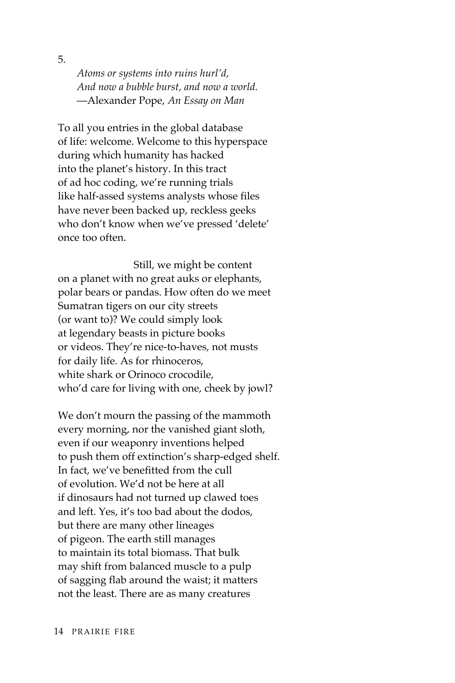*Atoms or systems into ruins hurl'd, And now a bubble burst, and now a world.* —Alexander Pope, *An Essay on Man*

To all you entries in the global database of life: welcome. Welcome to this hyperspace during which humanity has hacked into the planet's history. In this tract of ad hoc coding, we're running trials like half-assed systems analysts whose files have never been backed up, reckless geeks who don't know when we've pressed 'delete' once too often.

Still, we might be content on a planet with no great auks or elephants, polar bears or pandas. How often do we meet Sumatran tigers on our city streets (or want to)? We could simply look at legendary beasts in picture books or videos. They're nice-to-haves, not musts for daily life. As for rhinoceros, white shark or Orinoco crocodile, who'd care for living with one, cheek by jowl?

We don't mourn the passing of the mammoth every morning, nor the vanished giant sloth, even if our weaponry inventions helped to push them off extinction's sharp-edged shelf. In fact, we've benefitted from the cull of evolution. We'd not be here at all if dinosaurs had not turned up clawed toes and left. Yes, it's too bad about the dodos, but there are many other lineages of pigeon. The earth still manages to maintain its total biomass. That bulk may shift from balanced muscle to a pulp of sagging flab around the waist; it matters not the least. There are as many creatures

| -                  |  |
|--------------------|--|
| ٠<br>۰.<br>ł<br>۰. |  |
| ×<br>v             |  |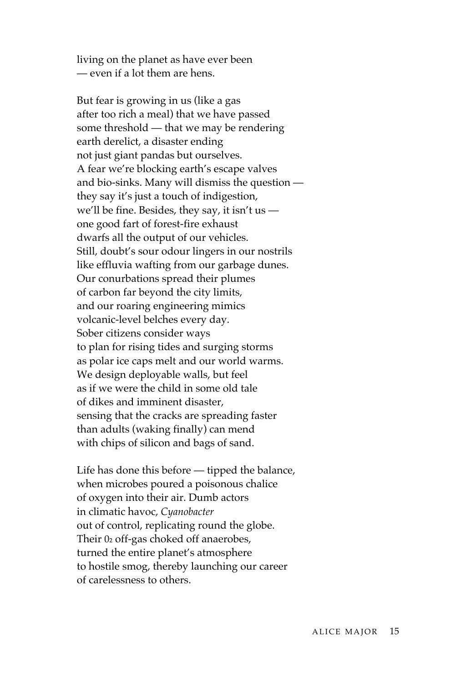living on the planet as have ever been — even if a lot them are hens.

But fear is growing in us (like a gas after too rich a meal) that we have passed some threshold — that we may be rendering earth derelict, a disaster ending not just giant pandas but ourselves. A fear we're blocking earth's escape valves and bio-sinks. Many will dismiss the question they say it's just a touch of indigestion, we'll be fine. Besides, they say, it isn't us one good fart of forest-fire exhaust dwarfs all the output of our vehicles. Still, doubt's sour odour lingers in our nostrils like effluvia wafting from our garbage dunes. Our conurbations spread their plumes of carbon far beyond the city limits, and our roaring engineering mimics volcanic-level belches every day. Sober citizens consider ways to plan for rising tides and surging storms as polar ice caps melt and our world warms. We design deployable walls, but feel as if we were the child in some old tale of dikes and imminent disaster, sensing that the cracks are spreading faster than adults (waking finally) can mend with chips of silicon and bags of sand.

Life has done this before — tipped the balance, when microbes poured a poisonous chalice of oxygen into their air. Dumb actors in climatic havoc, *Cyanobacter*  out of control, replicating round the globe. Their 02 off-gas choked off anaerobes, turned the entire planet's atmosphere to hostile smog, thereby launching our career of carelessness to others.